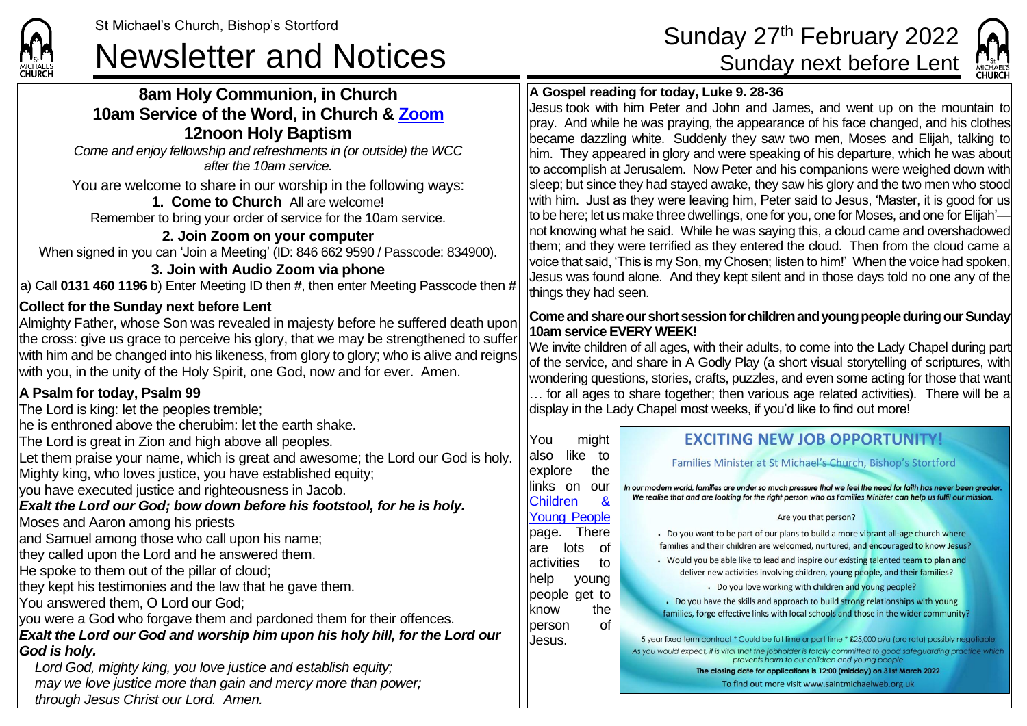# St Michael's Church, Bishop's Stortford<br>Sunday 27<sup>th</sup> February 2022<br>Sunday next before Lent

## **8am Holy Communion, in Church 10am Service of the Word, in Church & [Zoom](https://zoom.us/) 12noon Holy Baptism**

*Come and enjoy fellowship and refreshments in (or outside) the WCC after the 10am service.*

You are welcome to share in our worship in the following ways:

#### **1. Come to Church** All are welcome!

Remember to bring your order of service for the 10am service.

#### **2. Join Zoom on your computer** When signed in you can 'Join a Meeting' (ID: 846 662 9590 / Passcode: 834900).

## **3. Join with Audio Zoom via phone**

a) Call **0131 460 1196** b) Enter Meeting ID then **#**, then enter Meeting Passcode then **#**

## **Collect for the Sunday next before Lent**

Almighty Father, whose Son was revealed in majesty before he suffered death upon the cross: give us grace to perceive his glory, that we may be strengthened to suffer with him and be changed into his likeness, from glory to glory; who is alive and reigns with you, in the unity of the Holy Spirit, one God, now and for ever. Amen.

## **A Psalm for today, Psalm 99**

The Lord is king: let the peoples tremble;

he is enthroned above the cherubim: let the earth shake.

The Lord is great in Zion and high above all peoples.

Let them praise your name, which is great and awesome; the Lord our God is holy. Mighty king, who loves justice, you have established equity;

you have executed justice and righteousness in Jacob.

## *Exalt the Lord our God; bow down before his footstool, for he is holy.*

Moses and Aaron among his priests

and Samuel among those who call upon his name;

they called upon the Lord and he answered them.

He spoke to them out of the pillar of cloud;

they kept his testimonies and the law that he gave them.

You answered them, O Lord our God;

you were a God who forgave them and pardoned them for their offences.

*Exalt the Lord our God and worship him upon his holy hill, for the Lord our God is holy.*

*Lord God, mighty king, you love justice and establish equity; may we love justice more than gain and mercy more than power; through Jesus Christ our Lord. Amen.*



areate  $i$ ssion

e which

# **A Gospel reading for today, Luke 9. 28-36**

Jesus took with him Peter and John and James, and went up on the mountain to pray. And while he was praying, the appearance of his face changed, and his clothes became dazzling white. Suddenly they saw two men, Moses and Elijah, talking to him. They appeared in glory and were speaking of his departure, which he was about to accomplish at Jerusalem. Now Peter and his companions were weighed down with sleep; but since they had stayed awake, they saw his glory and the two men who stood with him. Just as they were leaving him, Peter said to Jesus, 'Master, it is good for us to be here; let us make three dwellings, one for you, one for Moses, and one for Elijah' not knowing what he said. While he was saying this, a cloud came and overshadowed them; and they were terrified as they entered the cloud. Then from the cloud came a voice that said, 'This is my Son, my Chosen; listen to him!' When the voice had spoken, Jesus was found alone. And they kept silent and in those days told no one any of the things they had seen.

#### **Come and share ourshort session for children and young people during our Sunday 10am service EVERY WEEK!**

We invite children of all ages, with their adults, to come into the Lady Chapel during part of the service, and share in A Godly Play (a short visual storytelling of scriptures, with wondering questions, stories, crafts, puzzles, and even some acting for those that want … for all ages to share together; then various age related activities). There will be a display in the Lady Chapel most weeks, if you'd like to find out more!

| <b>EXCITING NEW JOB OPPORTUNITY!</b>                                                                                                                                                                                                                                                                                                                                                                                                                                                                                                                                             |
|----------------------------------------------------------------------------------------------------------------------------------------------------------------------------------------------------------------------------------------------------------------------------------------------------------------------------------------------------------------------------------------------------------------------------------------------------------------------------------------------------------------------------------------------------------------------------------|
| Families Minister at St Michael's Church, Bishop's Stortford                                                                                                                                                                                                                                                                                                                                                                                                                                                                                                                     |
| In our modern world, families are under so much pressure that we feel the need for faith has never bee<br>We realise that and are looking for the right person who as Families Minister can help us fulfil our r                                                                                                                                                                                                                                                                                                                                                                 |
| Are you that person?                                                                                                                                                                                                                                                                                                                                                                                                                                                                                                                                                             |
| • Do you want to be part of our plans to build a more vibrant all-age church where<br>families and their children are welcomed, nurtured, and encouraged to know Jesus<br>• Would you be able like to lead and inspire our existing talented team to plan and<br>deliver new activities involving children, young people, and their families?<br>• Do you love working with children and young people?<br>. Do you have the skills and approach to build strong relationships with young<br>families, forge effective links with local schools and those in the wider community? |
| 5 year fixed term contract * Could be full time or part time * £25,000 p/a (pro rata) possibly neg<br>As you would expect, it is vital that the jobholder is totally committed to good safeguarding practice.<br>prevents harm to our children and young people<br>The closing date for applications is 12:00 (midday) on 31st March 2022<br>To find out more visit www.saintmichaelweb.org.uk                                                                                                                                                                                   |
|                                                                                                                                                                                                                                                                                                                                                                                                                                                                                                                                                                                  |